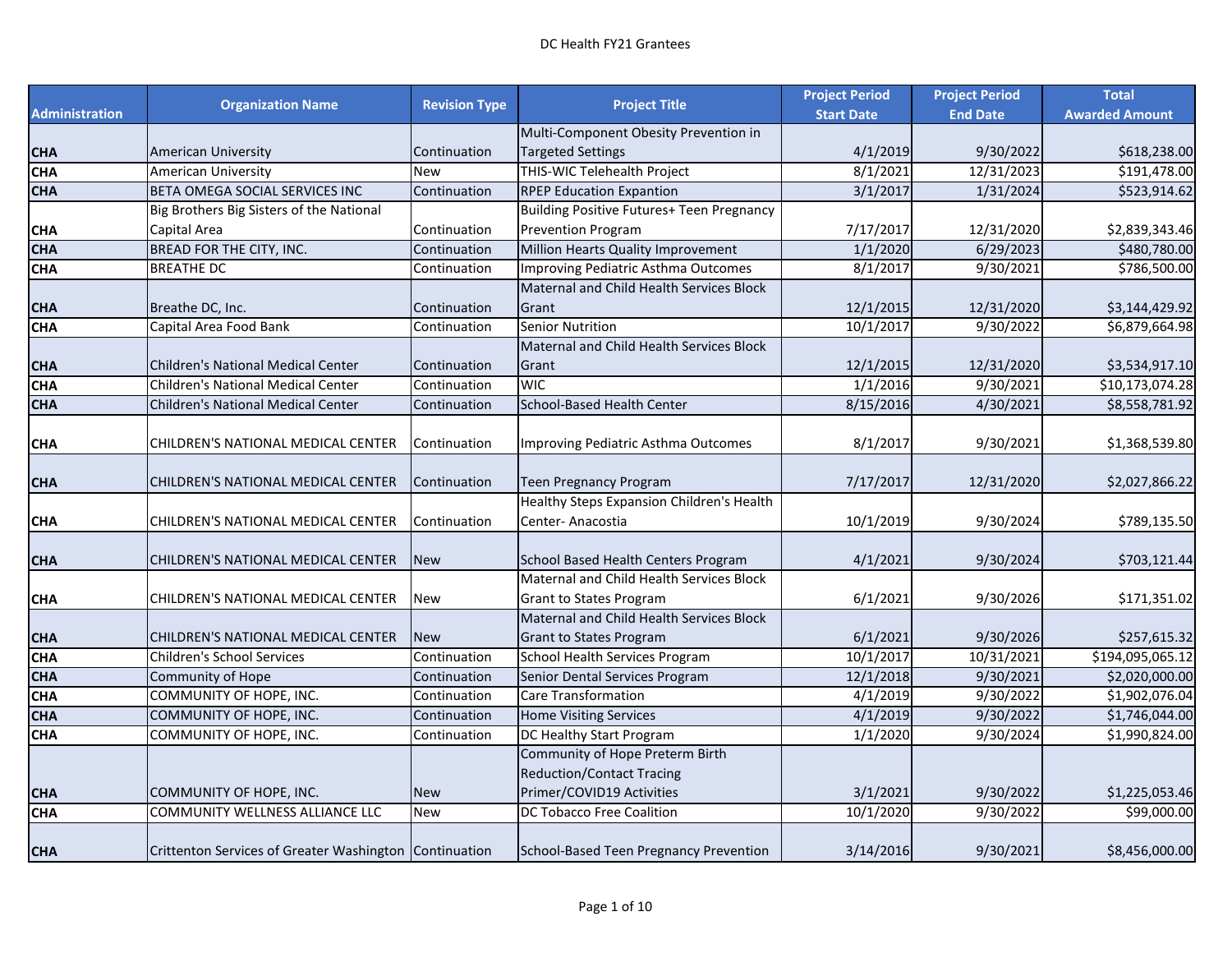|                       | <b>Organization Name</b>                               | <b>Revision Type</b> | <b>Project Title</b>                                              | <b>Project Period</b> | <b>Project Period</b> | <b>Total</b>               |
|-----------------------|--------------------------------------------------------|----------------------|-------------------------------------------------------------------|-----------------------|-----------------------|----------------------------|
| <b>Administration</b> |                                                        |                      |                                                                   | <b>Start Date</b>     | <b>End Date</b>       | <b>Awarded Amount</b>      |
| <b>CHA</b>            | <b>American University</b>                             | Continuation         | Multi-Component Obesity Prevention in<br><b>Targeted Settings</b> | 4/1/2019              | 9/30/2022             | \$618,238.00               |
| <b>CHA</b>            | American University                                    | <b>New</b>           | THIS-WIC Telehealth Project                                       | 8/1/2021              | 12/31/2023            | \$191,478.00               |
| <b>CHA</b>            | BETA OMEGA SOCIAL SERVICES INC                         | Continuation         | <b>RPEP Education Expantion</b>                                   | 3/1/2017              | 1/31/2024             | \$523,914.62               |
|                       | Big Brothers Big Sisters of the National               |                      | Building Positive Futures+ Teen Pregnancy                         |                       |                       |                            |
|                       |                                                        |                      |                                                                   |                       |                       |                            |
| <b>CHA</b>            | Capital Area                                           | Continuation         | <b>Prevention Program</b>                                         | 7/17/2017             | 12/31/2020            | \$2,839,343.46             |
| <b>CHA</b>            | BREAD FOR THE CITY, INC.                               | Continuation         | Million Hearts Quality Improvement                                | 1/1/2020              | 6/29/2023             | \$480,780.00               |
| <b>CHA</b>            | <b>BREATHE DC</b>                                      | Continuation         | Improving Pediatric Asthma Outcomes                               | 8/1/2017              | 9/30/2021             | \$786,500.00               |
|                       |                                                        |                      | <b>Maternal and Child Health Services Block</b>                   |                       |                       |                            |
| <b>CHA</b>            | Breathe DC, Inc.                                       | Continuation         | Grant                                                             | 12/1/2015             | 12/31/2020            | \$3,144,429.92             |
| <b>CHA</b>            | Capital Area Food Bank                                 | Continuation         | <b>Senior Nutrition</b>                                           | 10/1/2017             | 9/30/2022             | \$6,879,664.98             |
|                       |                                                        |                      | Maternal and Child Health Services Block                          |                       |                       |                            |
| <b>CHA</b>            | <b>Children's National Medical Center</b>              | Continuation         | Grant                                                             | 12/1/2015             | 12/31/2020            | \$3,534,917.10             |
| <b>CHA</b>            | Children's National Medical Center                     | Continuation         | <b>WIC</b>                                                        | 1/1/2016              | 9/30/2021             | \$10,173,074.28            |
| <b>CHA</b>            | <b>Children's National Medical Center</b>              | Continuation         | School-Based Health Center                                        | 8/15/2016             | 4/30/2021             | \$8,558,781.92             |
|                       |                                                        |                      |                                                                   |                       |                       |                            |
| <b>CHA</b>            | CHILDREN'S NATIONAL MEDICAL CENTER                     | Continuation         | Improving Pediatric Asthma Outcomes                               | 8/1/2017              | 9/30/2021             | \$1,368,539.80             |
|                       |                                                        |                      |                                                                   |                       |                       |                            |
| <b>CHA</b>            | CHILDREN'S NATIONAL MEDICAL CENTER                     | Continuation         | <b>Teen Pregnancy Program</b>                                     | 7/17/2017             | 12/31/2020            | \$2,027,866.22             |
|                       |                                                        |                      | Healthy Steps Expansion Children's Health                         |                       |                       |                            |
| <b>CHA</b>            | CHILDREN'S NATIONAL MEDICAL CENTER                     | Continuation         | Center-Anacostia                                                  | 10/1/2019             | 9/30/2024             | \$789,135.50               |
|                       |                                                        |                      |                                                                   |                       |                       |                            |
| <b>CHA</b>            | CHILDREN'S NATIONAL MEDICAL CENTER                     | <b>New</b>           | School Based Health Centers Program                               | 4/1/2021              | 9/30/2024             | \$703,121.44               |
|                       |                                                        |                      | Maternal and Child Health Services Block                          |                       |                       |                            |
| <b>CHA</b>            | CHILDREN'S NATIONAL MEDICAL CENTER                     | <b>New</b>           | <b>Grant to States Program</b>                                    | 6/1/2021              | 9/30/2026             | \$171,351.02               |
|                       |                                                        |                      | <b>Maternal and Child Health Services Block</b>                   |                       |                       |                            |
| <b>CHA</b>            | CHILDREN'S NATIONAL MEDICAL CENTER                     | <b>New</b>           | <b>Grant to States Program</b>                                    | 6/1/2021              | 9/30/2026             | \$257,615.32               |
| <b>CHA</b>            | Children's School Services                             | Continuation         | School Health Services Program                                    | 10/1/2017             | 10/31/2021            | \$194,095,065.12           |
| <b>CHA</b>            | Community of Hope                                      | Continuation         | Senior Dental Services Program                                    | 12/1/2018             | 9/30/2021             | \$2,020,000.00             |
| <b>CHA</b>            | COMMUNITY OF HOPE, INC.                                | Continuation         | <b>Care Transformation</b>                                        | 4/1/2019              | 9/30/2022             | \$1,902,076.04             |
| <b>CHA</b>            | COMMUNITY OF HOPE, INC.                                | Continuation         | <b>Home Visiting Services</b>                                     | 4/1/2019              | 9/30/2022             | \$1,746,044.00             |
| <b>CHA</b>            | COMMUNITY OF HOPE, INC.                                | Continuation         | DC Healthy Start Program                                          | 1/1/2020              | 9/30/2024             | $\overline{$}1,990,824.00$ |
|                       |                                                        |                      | Community of Hope Preterm Birth                                   |                       |                       |                            |
|                       |                                                        |                      | <b>Reduction/Contact Tracing</b>                                  |                       |                       |                            |
| <b>CHA</b>            | COMMUNITY OF HOPE, INC.                                | <b>New</b>           | Primer/COVID19 Activities                                         | 3/1/2021              | 9/30/2022             | \$1,225,053.46             |
| <b>CHA</b>            | COMMUNITY WELLNESS ALLIANCE LLC                        | <b>New</b>           | DC Tobacco Free Coalition                                         | 10/1/2020             | 9/30/2022             | \$99,000.00                |
|                       |                                                        |                      |                                                                   |                       |                       |                            |
| <b>CHA</b>            | Crittenton Services of Greater Washington Continuation |                      | School-Based Teen Pregnancy Prevention                            | 3/14/2016             | 9/30/2021             | \$8,456,000.00             |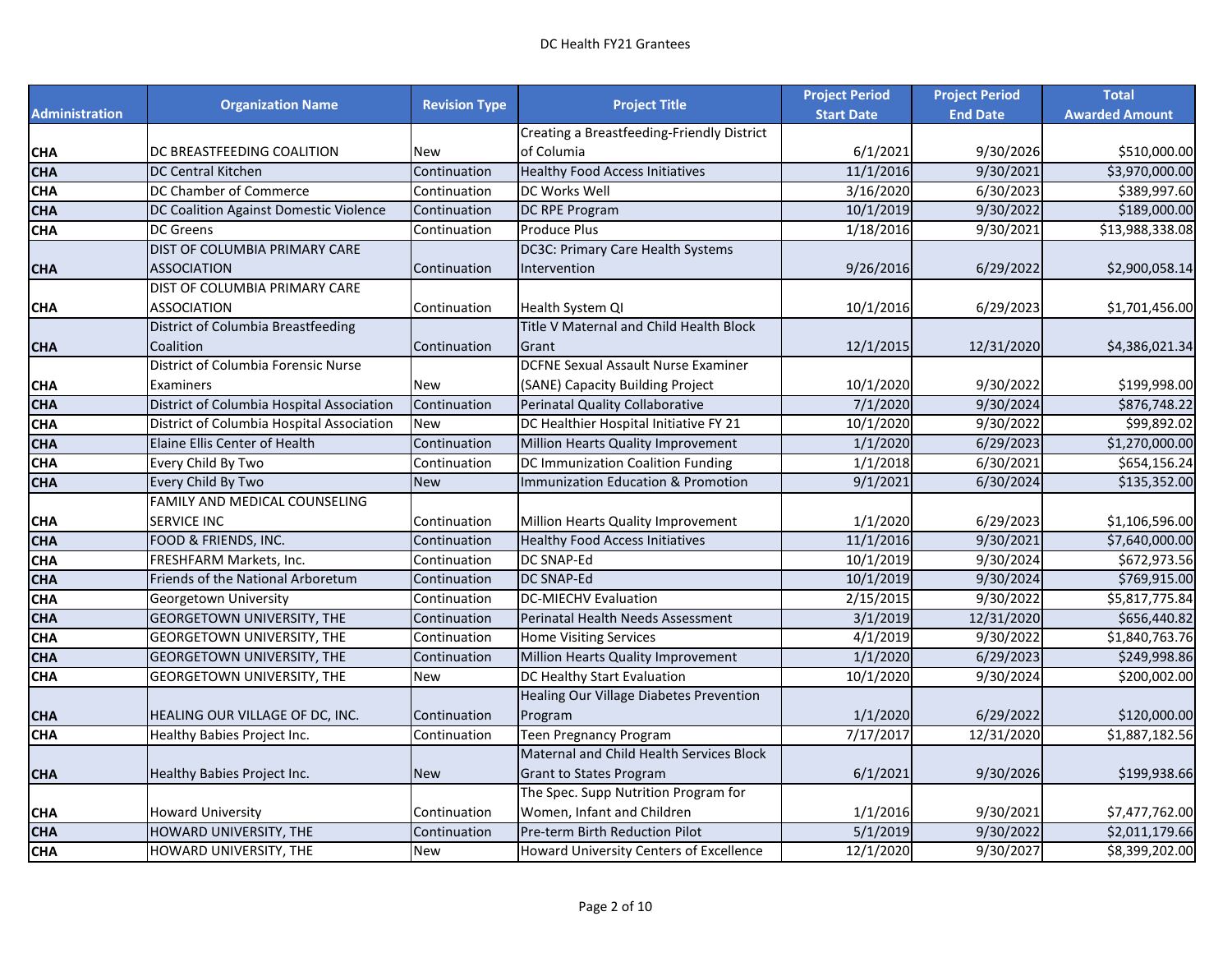|                       |                                           |                      |                                               | <b>Project Period</b> | <b>Project Period</b> | <b>Total</b>          |
|-----------------------|-------------------------------------------|----------------------|-----------------------------------------------|-----------------------|-----------------------|-----------------------|
| <b>Administration</b> | <b>Organization Name</b>                  | <b>Revision Type</b> | <b>Project Title</b>                          | <b>Start Date</b>     | <b>End Date</b>       | <b>Awarded Amount</b> |
|                       |                                           |                      | Creating a Breastfeeding-Friendly District    |                       |                       |                       |
| <b>CHA</b>            | DC BREASTFEEDING COALITION                | New                  | of Columia                                    | 6/1/2021              | 9/30/2026             | \$510,000.00          |
| <b>CHA</b>            | DC Central Kitchen                        | Continuation         | <b>Healthy Food Access Initiatives</b>        | 11/1/2016             | 9/30/2021             | \$3,970,000.00        |
| <b>CHA</b>            | DC Chamber of Commerce                    | Continuation         | DC Works Well                                 | 3/16/2020             | 6/30/2023             | \$389,997.60          |
| <b>CHA</b>            | DC Coalition Against Domestic Violence    | Continuation         | DC RPE Program                                | 10/1/2019             | 9/30/2022             | \$189,000.00          |
| <b>CHA</b>            | DC Greens                                 | Continuation         | <b>Produce Plus</b>                           | 1/18/2016             | 9/30/2021             | \$13,988,338.08       |
|                       | DIST OF COLUMBIA PRIMARY CARE             |                      | DC3C: Primary Care Health Systems             |                       |                       |                       |
| <b>CHA</b>            | <b>ASSOCIATION</b>                        | Continuation         | Intervention                                  | 9/26/2016             | 6/29/2022             | \$2,900,058.14        |
|                       | DIST OF COLUMBIA PRIMARY CARE             |                      |                                               |                       |                       |                       |
| <b>CHA</b>            | <b>ASSOCIATION</b>                        | Continuation         | Health System QI                              | 10/1/2016             | 6/29/2023             | \$1,701,456.00        |
|                       | District of Columbia Breastfeeding        |                      | Title V Maternal and Child Health Block       |                       |                       |                       |
| <b>CHA</b>            | Coalition                                 | Continuation         | Grant                                         | 12/1/2015             | 12/31/2020            | \$4,386,021.34        |
|                       | District of Columbia Forensic Nurse       |                      | <b>DCFNE Sexual Assault Nurse Examiner</b>    |                       |                       |                       |
| <b>CHA</b>            | Examiners                                 | New                  | (SANE) Capacity Building Project              | 10/1/2020             | 9/30/2022             | \$199,998.00          |
| <b>CHA</b>            | District of Columbia Hospital Association | Continuation         | Perinatal Quality Collaborative               | 7/1/2020              | 9/30/2024             | \$876,748.22          |
| <b>CHA</b>            | District of Columbia Hospital Association | <b>New</b>           | DC Healthier Hospital Initiative FY 21        | 10/1/2020             | 9/30/2022             | \$99,892.02           |
| <b>CHA</b>            | Elaine Ellis Center of Health             | Continuation         | Million Hearts Quality Improvement            | 1/1/2020              | 6/29/2023             | \$1,270,000.00        |
| <b>CHA</b>            | Every Child By Two                        | Continuation         | DC Immunization Coalition Funding             | 1/1/2018              | 6/30/2021             | \$654,156.24          |
| <b>CHA</b>            | Every Child By Two                        | <b>New</b>           | <b>Immunization Education &amp; Promotion</b> | 9/1/2021              | 6/30/2024             | \$135,352.00          |
|                       | FAMILY AND MEDICAL COUNSELING             |                      |                                               |                       |                       |                       |
| <b>CHA</b>            | SERVICE INC                               | Continuation         | Million Hearts Quality Improvement            | 1/1/2020              | 6/29/2023             | \$1,106,596.00        |
| <b>CHA</b>            | FOOD & FRIENDS, INC.                      | Continuation         | <b>Healthy Food Access Initiatives</b>        | 11/1/2016             | $\frac{9}{30}/2021$   | \$7,640,000.00        |
| <b>CHA</b>            | FRESHFARM Markets, Inc.                   | Continuation         | DC SNAP-Ed                                    | 10/1/2019             | 9/30/2024             | \$672,973.56          |
| <b>CHA</b>            | Friends of the National Arboretum         | Continuation         | <b>DC SNAP-Ed</b>                             | 10/1/2019             | 9/30/2024             | \$769,915.00          |
| <b>CHA</b>            | Georgetown University                     | Continuation         | <b>DC-MIECHV Evaluation</b>                   | 2/15/2015             | 9/30/2022             | \$5,817,775.84        |
| <b>CHA</b>            | <b>GEORGETOWN UNIVERSITY, THE</b>         | Continuation         | Perinatal Health Needs Assessment             | 3/1/2019              | 12/31/2020            | \$656,440.82          |
| <b>CHA</b>            | GEORGETOWN UNIVERSITY, THE                | Continuation         | <b>Home Visiting Services</b>                 | 4/1/2019              | 9/30/2022             | \$1,840,763.76        |
| <b>CHA</b>            | <b>GEORGETOWN UNIVERSITY, THE</b>         | Continuation         | Million Hearts Quality Improvement            | 1/1/2020              | 6/29/2023             | \$249,998.86          |
| <b>CHA</b>            | <b>GEORGETOWN UNIVERSITY, THE</b>         | New                  | DC Healthy Start Evaluation                   | 10/1/2020             | 9/30/2024             | \$200,002.00          |
|                       |                                           |                      | Healing Our Village Diabetes Prevention       |                       |                       |                       |
| <b>CHA</b>            | HEALING OUR VILLAGE OF DC, INC.           | Continuation         | Program                                       | 1/1/2020              | 6/29/2022             | \$120,000.00          |
| <b>CHA</b>            | Healthy Babies Project Inc.               | Continuation         | <b>Teen Pregnancy Program</b>                 | 7/17/2017             | 12/31/2020            | \$1,887,182.56        |
|                       |                                           |                      | Maternal and Child Health Services Block      |                       |                       |                       |
| <b>CHA</b>            | Healthy Babies Project Inc.               | <b>New</b>           | <b>Grant to States Program</b>                | 6/1/2021              | 9/30/2026             | \$199,938.66          |
|                       |                                           |                      | The Spec. Supp Nutrition Program for          |                       |                       |                       |
| <b>CHA</b>            | <b>Howard University</b>                  | Continuation         | Women, Infant and Children                    | 1/1/2016              | 9/30/2021             | \$7,477,762.00        |
| <b>CHA</b>            | HOWARD UNIVERSITY, THE                    | Continuation         | Pre-term Birth Reduction Pilot                | 5/1/2019              | 9/30/2022             | \$2,011,179.66        |
| <b>CHA</b>            | HOWARD UNIVERSITY, THE                    | <b>New</b>           | Howard University Centers of Excellence       | 12/1/2020             | 9/30/2027             | \$8,399,202.00        |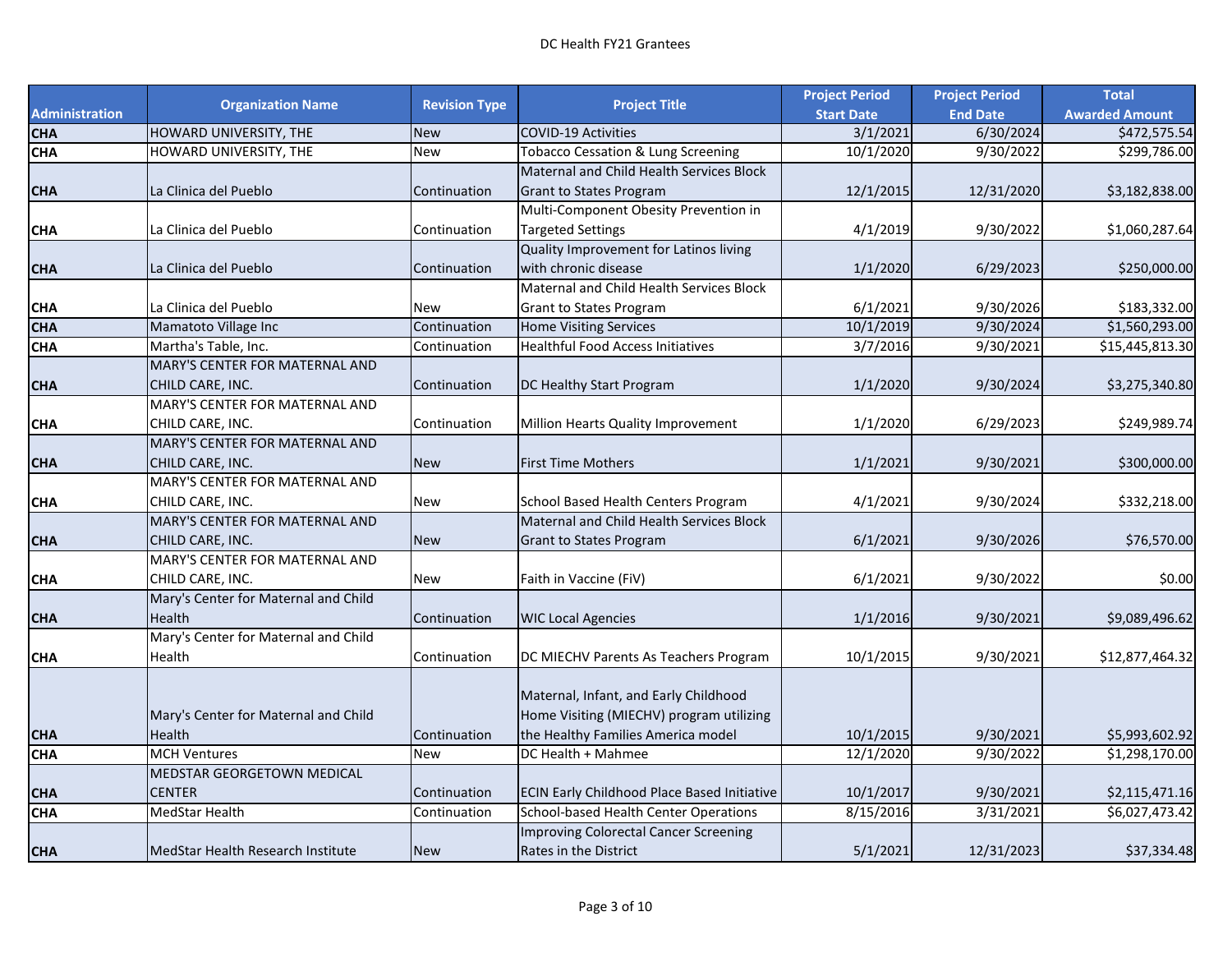|                       |                                      | <b>Revision Type</b> |                                                    | <b>Project Period</b> | <b>Project Period</b> | <b>Total</b>          |
|-----------------------|--------------------------------------|----------------------|----------------------------------------------------|-----------------------|-----------------------|-----------------------|
| <b>Administration</b> | <b>Organization Name</b>             |                      | <b>Project Title</b>                               | <b>Start Date</b>     | <b>End Date</b>       | <b>Awarded Amount</b> |
| <b>CHA</b>            | HOWARD UNIVERSITY, THE               | <b>New</b>           | <b>COVID-19 Activities</b>                         | 3/1/2021              | 6/30/2024             | \$472,575.54          |
| <b>CHA</b>            | HOWARD UNIVERSITY, THE               | <b>New</b>           | <b>Tobacco Cessation &amp; Lung Screening</b>      | 10/1/2020             | 9/30/2022             | \$299,786.00          |
|                       |                                      |                      | Maternal and Child Health Services Block           |                       |                       |                       |
| <b>CHA</b>            | La Clinica del Pueblo                | Continuation         | <b>Grant to States Program</b>                     | 12/1/2015             | 12/31/2020            | \$3,182,838.00        |
|                       |                                      |                      | Multi-Component Obesity Prevention in              |                       |                       |                       |
| СНА                   | La Clinica del Pueblo                | Continuation         | <b>Targeted Settings</b>                           | 4/1/2019              | 9/30/2022             | \$1,060,287.64        |
|                       |                                      |                      | Quality Improvement for Latinos living             |                       |                       |                       |
| <b>CHA</b>            | La Clinica del Pueblo                | Continuation         | with chronic disease                               | 1/1/2020              | 6/29/2023             | \$250,000.00          |
|                       |                                      |                      | Maternal and Child Health Services Block           |                       |                       |                       |
| СНА                   | La Clinica del Pueblo                | <b>New</b>           | <b>Grant to States Program</b>                     | 6/1/2021              | 9/30/2026             | \$183,332.00          |
| <b>CHA</b>            | Mamatoto Village Inc                 | Continuation         | <b>Home Visiting Services</b>                      | 10/1/2019             | 9/30/2024             | \$1,560,293.00        |
| <b>CHA</b>            | Martha's Table, Inc.                 | Continuation         | <b>Healthful Food Access Initiatives</b>           | 3/7/2016              | 9/30/2021             | \$15,445,813.30       |
|                       | MARY'S CENTER FOR MATERNAL AND       |                      |                                                    |                       |                       |                       |
| <b>CHA</b>            | CHILD CARE, INC.                     | Continuation         | DC Healthy Start Program                           | 1/1/2020              | 9/30/2024             | \$3,275,340.80        |
|                       | MARY'S CENTER FOR MATERNAL AND       |                      |                                                    |                       |                       |                       |
| CHA                   | CHILD CARE, INC.                     | Continuation         | Million Hearts Quality Improvement                 | 1/1/2020              | 6/29/2023             | \$249,989.74          |
|                       | MARY'S CENTER FOR MATERNAL AND       |                      |                                                    |                       |                       |                       |
| CHA                   | CHILD CARE, INC.                     | <b>New</b>           | <b>First Time Mothers</b>                          | 1/1/2021              | 9/30/2021             | \$300,000.00          |
|                       | MARY'S CENTER FOR MATERNAL AND       |                      |                                                    |                       |                       |                       |
| CHA                   | CHILD CARE, INC.                     | <b>New</b>           | School Based Health Centers Program                | 4/1/2021              | 9/30/2024             | \$332,218.00          |
|                       | MARY'S CENTER FOR MATERNAL AND       |                      | Maternal and Child Health Services Block           |                       |                       |                       |
| CHA                   | CHILD CARE, INC.                     | <b>New</b>           | <b>Grant to States Program</b>                     | 6/1/2021              | 9/30/2026             | \$76,570.00           |
|                       | MARY'S CENTER FOR MATERNAL AND       |                      |                                                    |                       |                       |                       |
| СНА                   | CHILD CARE, INC.                     | <b>New</b>           | Faith in Vaccine (FiV)                             | 6/1/2021              | 9/30/2022             | \$0.00                |
|                       | Mary's Center for Maternal and Child |                      |                                                    |                       |                       |                       |
| <b>CHA</b>            | Health                               | Continuation         | <b>WIC Local Agencies</b>                          | 1/1/2016              | 9/30/2021             | \$9,089,496.62        |
|                       | Mary's Center for Maternal and Child |                      |                                                    |                       |                       |                       |
| CHA                   | Health                               | Continuation         | DC MIECHV Parents As Teachers Program              | 10/1/2015             | 9/30/2021             | \$12,877,464.32       |
|                       |                                      |                      |                                                    |                       |                       |                       |
|                       |                                      |                      | Maternal, Infant, and Early Childhood              |                       |                       |                       |
|                       | Mary's Center for Maternal and Child |                      | Home Visiting (MIECHV) program utilizing           |                       |                       |                       |
| <b>CHA</b>            | Health                               | Continuation         | the Healthy Families America model                 | 10/1/2015             | 9/30/2021             | \$5,993,602.92        |
| <b>CHA</b>            | <b>MCH Ventures</b>                  | <b>New</b>           | DC Health + Mahmee                                 | 12/1/2020             | 9/30/2022             | \$1,298,170.00        |
|                       | <b>MEDSTAR GEORGETOWN MEDICAL</b>    |                      |                                                    |                       |                       |                       |
| <b>CHA</b>            | <b>CENTER</b>                        | Continuation         | <b>ECIN Early Childhood Place Based Initiative</b> | 10/1/2017             | 9/30/2021             | \$2,115,471.16        |
| <b>CHA</b>            | MedStar Health                       | Continuation         | School-based Health Center Operations              | 8/15/2016             | 3/31/2021             | \$6,027,473.42        |
|                       |                                      |                      | <b>Improving Colorectal Cancer Screening</b>       |                       |                       |                       |
| <b>CHA</b>            | MedStar Health Research Institute    | <b>New</b>           | Rates in the District                              | 5/1/2021              | 12/31/2023            | \$37,334.48           |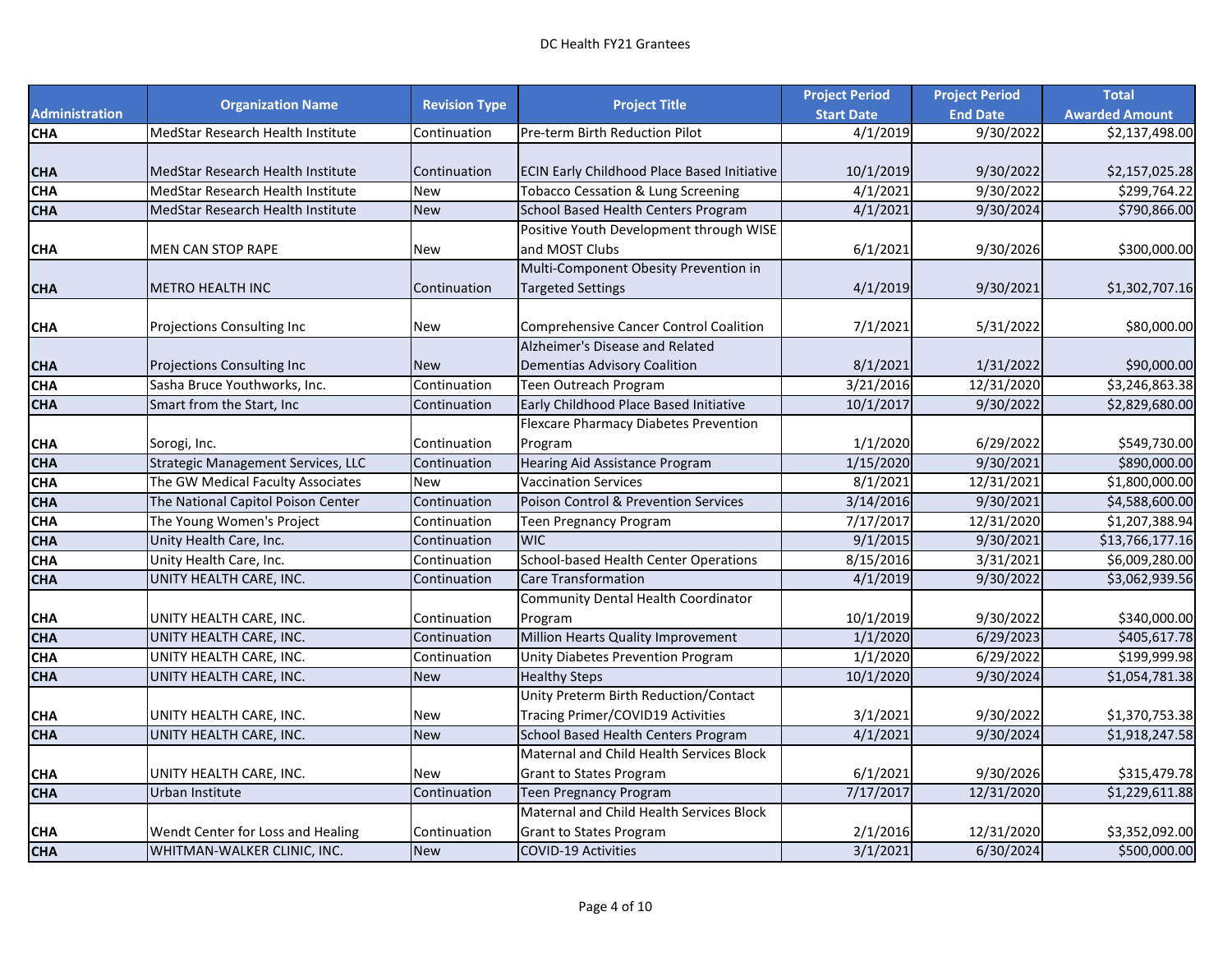|                       |                                    |                      |                                                 | <b>Project Period</b> | <b>Project Period</b> | <b>Total</b>          |
|-----------------------|------------------------------------|----------------------|-------------------------------------------------|-----------------------|-----------------------|-----------------------|
| <b>Administration</b> | <b>Organization Name</b>           | <b>Revision Type</b> | <b>Project Title</b>                            | <b>Start Date</b>     | <b>End Date</b>       | <b>Awarded Amount</b> |
| <b>CHA</b>            | MedStar Research Health Institute  | Continuation         | Pre-term Birth Reduction Pilot                  | 4/1/2019              | 9/30/2022             | \$2,137,498.00        |
|                       |                                    |                      |                                                 |                       |                       |                       |
| CHA                   | MedStar Research Health Institute  | Continuation         | ECIN Early Childhood Place Based Initiative     | 10/1/2019             | 9/30/2022             | \$2,157,025.28        |
| <b>CHA</b>            | MedStar Research Health Institute  | <b>New</b>           | Tobacco Cessation & Lung Screening              | 4/1/2021              | 9/30/2022             | \$299,764.22          |
| <b>CHA</b>            | MedStar Research Health Institute  | <b>New</b>           | School Based Health Centers Program             | 4/1/2021              | 9/30/2024             | \$790,866.00          |
|                       |                                    |                      | Positive Youth Development through WISE         |                       |                       |                       |
| CHA                   | <b>MEN CAN STOP RAPE</b>           | <b>New</b>           | and MOST Clubs                                  | 6/1/2021              | 9/30/2026             | \$300,000.00          |
|                       |                                    |                      | Multi-Component Obesity Prevention in           |                       |                       |                       |
| <b>CHA</b>            | <b>METRO HEALTH INC</b>            | Continuation         | <b>Targeted Settings</b>                        | 4/1/2019              | 9/30/2021             | \$1,302,707.16        |
|                       |                                    |                      |                                                 |                       |                       |                       |
| CHA                   | Projections Consulting Inc         | <b>New</b>           | <b>Comprehensive Cancer Control Coalition</b>   | 7/1/2021              | 5/31/2022             | \$80,000.00           |
|                       |                                    |                      | Alzheimer's Disease and Related                 |                       |                       |                       |
| <b>CHA</b>            | <b>Projections Consulting Inc</b>  | <b>New</b>           | <b>Dementias Advisory Coalition</b>             | 8/1/2021              | 1/31/2022             | \$90,000.00           |
| <b>CHA</b>            | Sasha Bruce Youthworks, Inc.       | Continuation         | Teen Outreach Program                           | 3/21/2016             | 12/31/2020            | \$3,246,863.38        |
| <b>CHA</b>            | Smart from the Start, Inc.         | Continuation         | Early Childhood Place Based Initiative          | 10/1/2017             | 9/30/2022             | \$2,829,680.00        |
|                       |                                    |                      | Flexcare Pharmacy Diabetes Prevention           |                       |                       |                       |
| CHA                   | Sorogi, Inc.                       | Continuation         | Program                                         | 1/1/2020              | 6/29/2022             | \$549,730.00          |
| <b>CHA</b>            | Strategic Management Services, LLC | Continuation         | Hearing Aid Assistance Program                  | 1/15/2020             | 9/30/2021             | \$890,000.00          |
| <b>CHA</b>            | The GW Medical Faculty Associates  | <b>New</b>           | <b>Vaccination Services</b>                     | 8/1/2021              | 12/31/2021            | \$1,800,000.00        |
| <b>CHA</b>            | The National Capitol Poison Center | Continuation         | <b>Poison Control &amp; Prevention Services</b> | 3/14/2016             | 9/30/2021             | \$4,588,600.00        |
| <b>CHA</b>            | The Young Women's Project          | Continuation         | Teen Pregnancy Program                          | 7/17/2017             | 12/31/2020            | \$1,207,388.94        |
| <b>CHA</b>            | Unity Health Care, Inc.            | Continuation         | <b>WIC</b>                                      | 9/1/2015              | 9/30/2021             | \$13,766,177.16       |
| <b>CHA</b>            | Unity Health Care, Inc.            | Continuation         | School-based Health Center Operations           | 8/15/2016             | 3/31/2021             | \$6,009,280.00        |
| <b>CHA</b>            | UNITY HEALTH CARE, INC.            | Continuation         | <b>Care Transformation</b>                      | 4/1/2019              | 9/30/2022             | \$3,062,939.56        |
|                       |                                    |                      | Community Dental Health Coordinator             |                       |                       |                       |
| CHA                   | UNITY HEALTH CARE, INC.            | Continuation         | Program                                         | 10/1/2019             | 9/30/2022             | \$340,000.00          |
| <b>CHA</b>            | UNITY HEALTH CARE, INC.            | Continuation         | Million Hearts Quality Improvement              | 1/1/2020              | 6/29/2023             | \$405,617.78          |
| <b>CHA</b>            | UNITY HEALTH CARE, INC.            | Continuation         | Unity Diabetes Prevention Program               | 1/1/2020              | 6/29/2022             | \$199,999.98          |
| <b>CHA</b>            | UNITY HEALTH CARE, INC.            | <b>New</b>           | <b>Healthy Steps</b>                            | 10/1/2020             | 9/30/2024             | \$1,054,781.38        |
|                       |                                    |                      | Unity Preterm Birth Reduction/Contact           |                       |                       |                       |
| <b>CHA</b>            | UNITY HEALTH CARE, INC.            | <b>New</b>           | Tracing Primer/COVID19 Activities               | 3/1/2021              | 9/30/2022             | \$1,370,753.38        |
| <b>CHA</b>            | UNITY HEALTH CARE, INC.            | <b>New</b>           | School Based Health Centers Program             | 4/1/2021              | 9/30/2024             | \$1,918,247.58        |
|                       |                                    |                      | Maternal and Child Health Services Block        |                       |                       |                       |
| CHA                   | UNITY HEALTH CARE, INC.            | <b>New</b>           | <b>Grant to States Program</b>                  | 6/1/2021              | 9/30/2026             | \$315,479.78          |
| <b>CHA</b>            | Urban Institute                    | Continuation         | Teen Pregnancy Program                          | 7/17/2017             | 12/31/2020            | \$1,229,611.88        |
|                       |                                    |                      | Maternal and Child Health Services Block        |                       |                       |                       |
| CHA                   | Wendt Center for Loss and Healing  | Continuation         | <b>Grant to States Program</b>                  | 2/1/2016              | 12/31/2020            | \$3,352,092.00        |
| <b>CHA</b>            | WHITMAN-WALKER CLINIC, INC.        | <b>New</b>           | <b>COVID-19 Activities</b>                      | 3/1/2021              | 6/30/2024             | \$500,000.00          |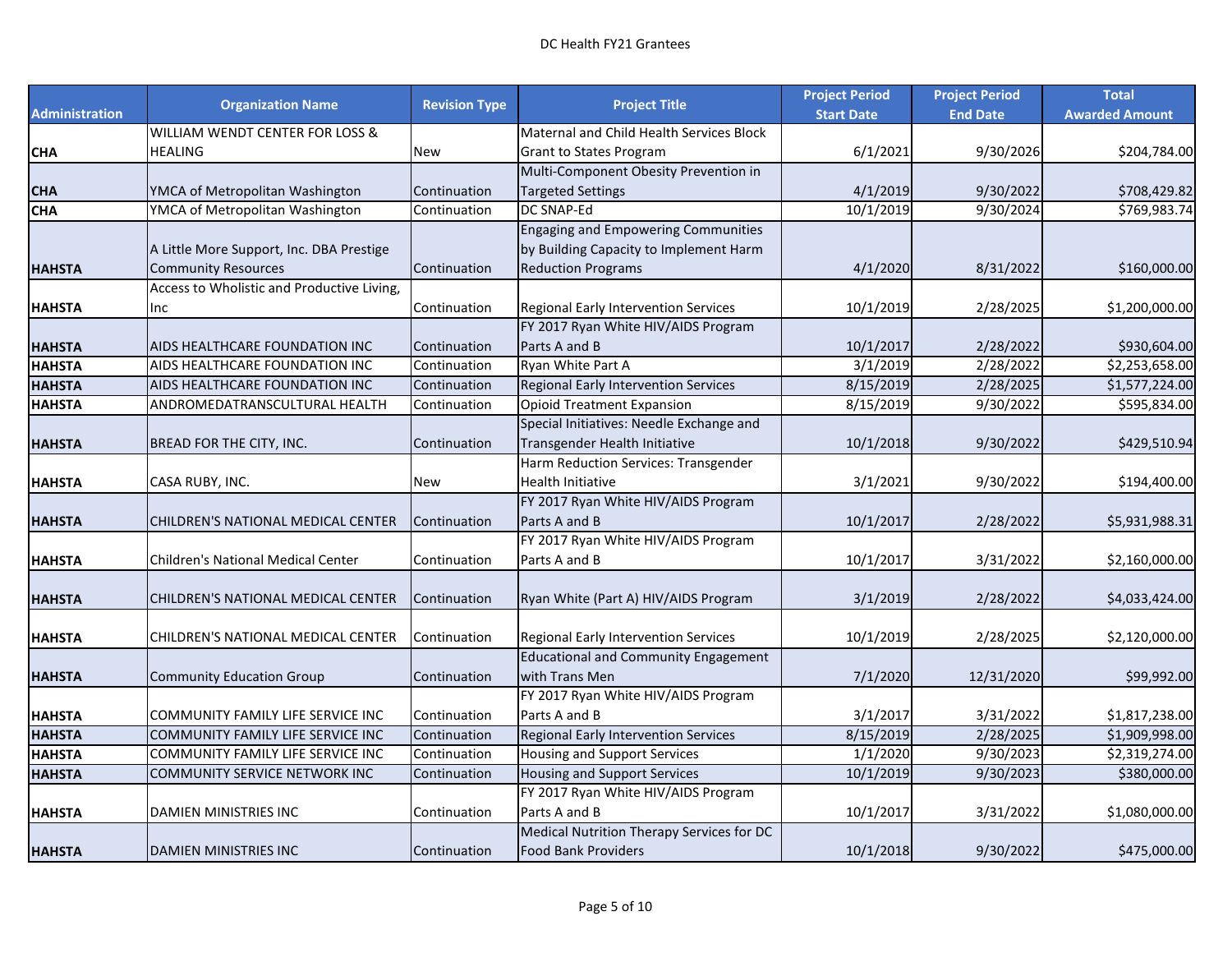|                       |                                            |                      |                                             | <b>Project Period</b> | <b>Project Period</b> | <b>Total</b>          |
|-----------------------|--------------------------------------------|----------------------|---------------------------------------------|-----------------------|-----------------------|-----------------------|
| <b>Administration</b> | <b>Organization Name</b>                   | <b>Revision Type</b> | <b>Project Title</b>                        | <b>Start Date</b>     | <b>End Date</b>       | <b>Awarded Amount</b> |
|                       | WILLIAM WENDT CENTER FOR LOSS &            |                      | Maternal and Child Health Services Block    |                       |                       |                       |
| СНА                   | <b>HEALING</b>                             | New                  | <b>Grant to States Program</b>              | 6/1/2021              | 9/30/2026             | \$204,784.00          |
|                       |                                            |                      | Multi-Component Obesity Prevention in       |                       |                       |                       |
| CHA                   | YMCA of Metropolitan Washington            | Continuation         | <b>Targeted Settings</b>                    | 4/1/2019              | 9/30/2022             | \$708,429.82          |
| <b>CHA</b>            | YMCA of Metropolitan Washington            | Continuation         | DC SNAP-Ed                                  | 10/1/2019             | 9/30/2024             | \$769,983.74          |
|                       |                                            |                      | <b>Engaging and Empowering Communities</b>  |                       |                       |                       |
|                       | A Little More Support, Inc. DBA Prestige   |                      | by Building Capacity to Implement Harm      |                       |                       |                       |
| <b>HAHSTA</b>         | <b>Community Resources</b>                 | Continuation         | <b>Reduction Programs</b>                   | 4/1/2020              | 8/31/2022             | \$160,000.00          |
|                       | Access to Wholistic and Productive Living, |                      |                                             |                       |                       |                       |
| HAHSTA                | Inc                                        | Continuation         | Regional Early Intervention Services        | 10/1/2019             | 2/28/2025             | \$1,200,000.00        |
|                       |                                            |                      | FY 2017 Ryan White HIV/AIDS Program         |                       |                       |                       |
| HAHSTA                | AIDS HEALTHCARE FOUNDATION INC             | Continuation         | Parts A and B                               | 10/1/2017             | 2/28/2022             | \$930,604.00          |
| <b>HAHSTA</b>         | AIDS HEALTHCARE FOUNDATION INC             | Continuation         | Ryan White Part A                           | 3/1/2019              | 2/28/2022             | \$2,253,658.00        |
| <b>HAHSTA</b>         | AIDS HEALTHCARE FOUNDATION INC             | Continuation         | Regional Early Intervention Services        | 8/15/2019             | 2/28/2025             | \$1,577,224.00        |
| HAHSTA                | ANDROMEDATRANSCULTURAL HEALTH              | Continuation         | <b>Opioid Treatment Expansion</b>           | 8/15/2019             | 9/30/2022             | \$595,834.00          |
|                       |                                            |                      | Special Initiatives: Needle Exchange and    |                       |                       |                       |
| <b>HAHSTA</b>         | BREAD FOR THE CITY, INC.                   | Continuation         | Transgender Health Initiative               | 10/1/2018             | 9/30/2022             | \$429,510.94          |
|                       |                                            |                      | Harm Reduction Services: Transgender        |                       |                       |                       |
| <b>HAHSTA</b>         | CASA RUBY, INC.                            | New                  | <b>Health Initiative</b>                    | 3/1/2021              | 9/30/2022             | \$194,400.00          |
|                       |                                            |                      | FY 2017 Ryan White HIV/AIDS Program         |                       |                       |                       |
| HAHSTA                | CHILDREN'S NATIONAL MEDICAL CENTER         | Continuation         | Parts A and B                               | 10/1/2017             | 2/28/2022             | \$5,931,988.31        |
|                       |                                            |                      | FY 2017 Ryan White HIV/AIDS Program         |                       |                       |                       |
| HAHSTA                | <b>Children's National Medical Center</b>  | Continuation         | Parts A and B                               | 10/1/2017             | 3/31/2022             | \$2,160,000.00        |
|                       |                                            |                      |                                             |                       |                       |                       |
| <b>HAHSTA</b>         | CHILDREN'S NATIONAL MEDICAL CENTER         | Continuation         | Ryan White (Part A) HIV/AIDS Program        | 3/1/2019              | 2/28/2022             | \$4,033,424.00        |
|                       |                                            |                      |                                             |                       |                       |                       |
| HAHSTA                | CHILDREN'S NATIONAL MEDICAL CENTER         | Continuation         | Regional Early Intervention Services        | 10/1/2019             | 2/28/2025             | \$2,120,000.00        |
|                       |                                            |                      | <b>Educational and Community Engagement</b> |                       |                       |                       |
| HAHSTA                | <b>Community Education Group</b>           | Continuation         | with Trans Men                              | 7/1/2020              | 12/31/2020            | \$99,992.00           |
|                       |                                            |                      | FY 2017 Ryan White HIV/AIDS Program         |                       |                       |                       |
| <b>HAHSTA</b>         | COMMUNITY FAMILY LIFE SERVICE INC          | Continuation         | Parts A and B                               | 3/1/2017              | 3/31/2022             | \$1,817,238.00        |
| <b>HAHSTA</b>         | COMMUNITY FAMILY LIFE SERVICE INC          | Continuation         | Regional Early Intervention Services        | 8/15/2019             | 2/28/2025             | \$1,909,998.00        |
| <b>HAHSTA</b>         | COMMUNITY FAMILY LIFE SERVICE INC          | Continuation         | <b>Housing and Support Services</b>         | 1/1/2020              | 9/30/2023             | \$2,319,274.00        |
| <b>HAHSTA</b>         | COMMUNITY SERVICE NETWORK INC              | Continuation         | <b>Housing and Support Services</b>         | 10/1/2019             | 9/30/2023             | \$380,000.00          |
|                       |                                            |                      | FY 2017 Ryan White HIV/AIDS Program         |                       |                       |                       |
| HAHSTA                | DAMIEN MINISTRIES INC                      | Continuation         | Parts A and B                               | 10/1/2017             | 3/31/2022             | \$1,080,000.00        |
|                       |                                            |                      | Medical Nutrition Therapy Services for DC   |                       |                       |                       |
| HAHSTA                | <b>DAMIEN MINISTRIES INC</b>               | Continuation         | <b>Food Bank Providers</b>                  | 10/1/2018             | 9/30/2022             | \$475,000.00          |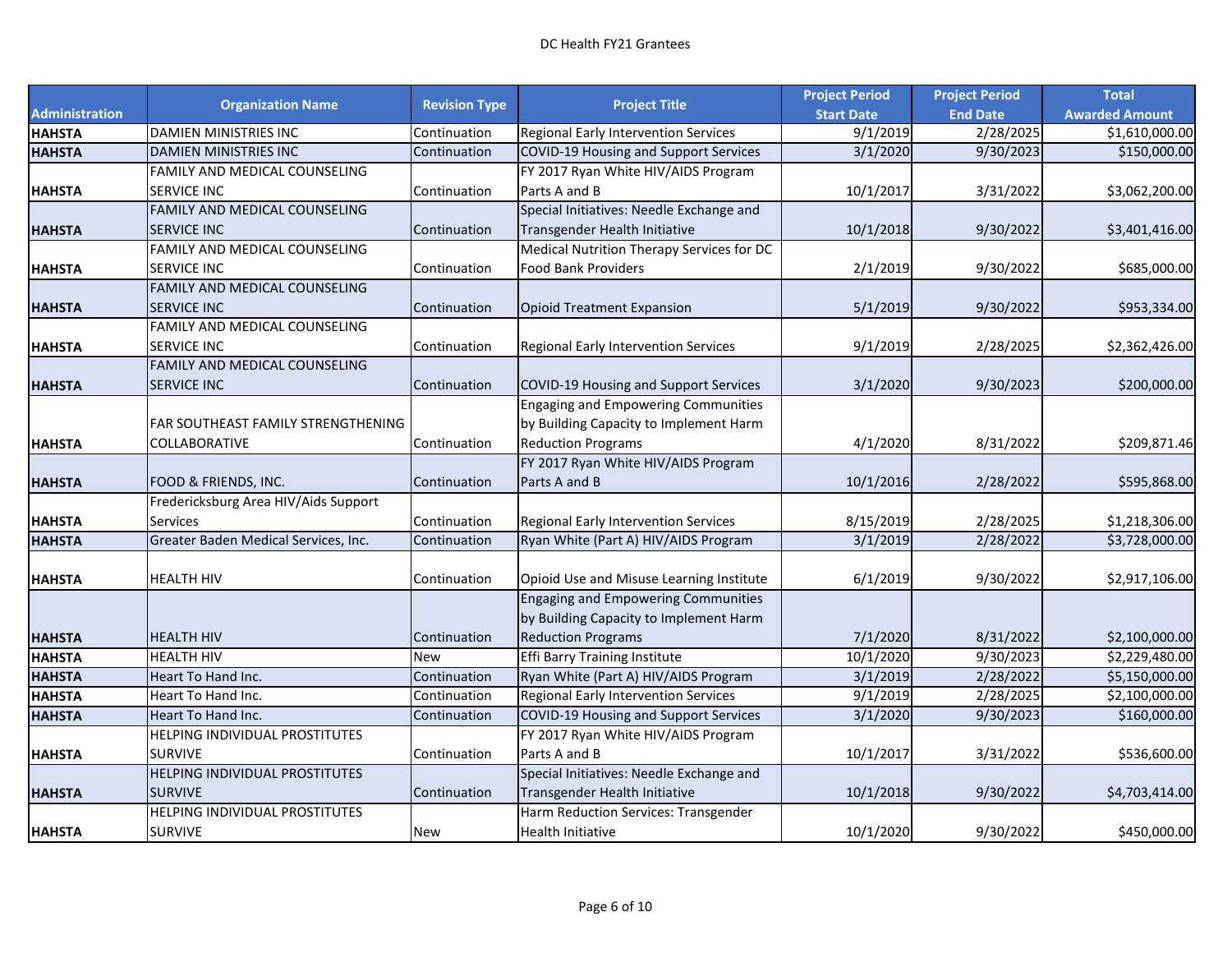|                       |                                      |                      |                                              | <b>Project Period</b> | <b>Project Period</b>  | <b>Total</b>          |
|-----------------------|--------------------------------------|----------------------|----------------------------------------------|-----------------------|------------------------|-----------------------|
| <b>Administration</b> | <b>Organization Name</b>             | <b>Revision Type</b> | <b>Project Title</b>                         | <b>Start Date</b>     | <b>End Date</b>        | <b>Awarded Amount</b> |
| <b>HAHSTA</b>         | DAMIEN MINISTRIES INC                | Continuation         | Regional Early Intervention Services         | 9/1/2019              | 2/28/2025              | \$1,610,000.00        |
| <b>HAHSTA</b>         | DAMIEN MINISTRIES INC                | Continuation         | COVID-19 Housing and Support Services        | 3/1/2020              | 9/30/2023              | \$150,000.00          |
|                       | FAMILY AND MEDICAL COUNSELING        |                      | FY 2017 Ryan White HIV/AIDS Program          |                       |                        |                       |
| <b>HAHSTA</b>         | SERVICE INC                          | Continuation         | Parts A and B                                | 10/1/2017             | 3/31/2022              | \$3,062,200.00        |
|                       | FAMILY AND MEDICAL COUNSELING        |                      | Special Initiatives: Needle Exchange and     |                       |                        |                       |
| <b>HAHSTA</b>         | <b>SERVICE INC</b>                   | Continuation         | Transgender Health Initiative                | 10/1/2018             | 9/30/2022              | \$3,401,416.00        |
|                       | FAMILY AND MEDICAL COUNSELING        |                      | Medical Nutrition Therapy Services for DC    |                       |                        |                       |
| <b>HAHSTA</b>         | SERVICE INC                          | Continuation         | <b>Food Bank Providers</b>                   | 2/1/2019              | 9/30/2022              | \$685,000.00          |
|                       | FAMILY AND MEDICAL COUNSELING        |                      |                                              |                       |                        |                       |
| <b>HAHSTA</b>         | <b>SERVICE INC</b>                   | Continuation         | <b>Opioid Treatment Expansion</b>            | 5/1/2019              | 9/30/2022              | \$953,334.00          |
|                       | FAMILY AND MEDICAL COUNSELING        |                      |                                              |                       |                        |                       |
| <b>HAHSTA</b>         | <b>SERVICE INC</b>                   | Continuation         | Regional Early Intervention Services         | 9/1/2019              | 2/28/2025              | \$2,362,426.00        |
|                       | FAMILY AND MEDICAL COUNSELING        |                      |                                              |                       |                        |                       |
| <b>HAHSTA</b>         | <b>SERVICE INC</b>                   | Continuation         | <b>COVID-19 Housing and Support Services</b> | 3/1/2020              | 9/30/2023              | \$200,000.00          |
|                       |                                      |                      | <b>Engaging and Empowering Communities</b>   |                       |                        |                       |
|                       | FAR SOUTHEAST FAMILY STRENGTHENING   |                      | by Building Capacity to Implement Harm       |                       |                        |                       |
| <b>HAHSTA</b>         | COLLABORATIVE                        | Continuation         | <b>Reduction Programs</b>                    | 4/1/2020              | 8/31/2022              | \$209,871.46          |
|                       |                                      |                      | FY 2017 Ryan White HIV/AIDS Program          |                       |                        |                       |
| <b>HAHSTA</b>         | FOOD & FRIENDS, INC.                 | Continuation         | Parts A and B                                | 10/1/2016             | 2/28/2022              | \$595,868.00          |
|                       | Fredericksburg Area HIV/Aids Support |                      |                                              |                       |                        |                       |
| <b>HAHSTA</b>         | <b>Services</b>                      | Continuation         | Regional Early Intervention Services         | 8/15/2019             | 2/28/2025              | \$1,218,306.00        |
| <b>HAHSTA</b>         | Greater Baden Medical Services, Inc. | Continuation         | Ryan White (Part A) HIV/AIDS Program         | 3/1/2019              | 2/28/2022              | \$3,728,000.00        |
|                       |                                      |                      |                                              |                       |                        |                       |
| <b>HAHSTA</b>         | <b>HEALTH HIV</b>                    | Continuation         | Opioid Use and Misuse Learning Institute     | 6/1/2019              | 9/30/2022              | \$2,917,106.00        |
|                       |                                      |                      | <b>Engaging and Empowering Communities</b>   |                       |                        |                       |
|                       |                                      |                      | by Building Capacity to Implement Harm       |                       |                        |                       |
| <b>HAHSTA</b>         | <b>HEALTH HIV</b>                    | Continuation         | <b>Reduction Programs</b>                    | 7/1/2020              | 8/31/2022              | \$2,100,000.00        |
| <b>HAHSTA</b>         | <b>HEALTH HIV</b>                    | <b>New</b>           | Effi Barry Training Institute                | 10/1/2020             | $\overline{9/30/2023}$ | \$2,229,480.00        |
| <b>HAHSTA</b>         | Heart To Hand Inc.                   | Continuation         | Ryan White (Part A) HIV/AIDS Program         | 3/1/2019              | 2/28/2022              | \$5,150,000.00        |
| <b>HAHSTA</b>         | Heart To Hand Inc.                   | Continuation         | <b>Regional Early Intervention Services</b>  | 9/1/2019              | 2/28/2025              | \$2,100,000.00        |
| <b>HAHSTA</b>         | Heart To Hand Inc.                   | Continuation         | <b>COVID-19 Housing and Support Services</b> | 3/1/2020              | 9/30/2023              | \$160,000.00          |
|                       | HELPING INDIVIDUAL PROSTITUTES       |                      | FY 2017 Ryan White HIV/AIDS Program          |                       |                        |                       |
| <b>HAHSTA</b>         | <b>SURVIVE</b>                       | Continuation         | Parts A and B                                | 10/1/2017             | 3/31/2022              | \$536,600.00          |
|                       | HELPING INDIVIDUAL PROSTITUTES       |                      | Special Initiatives: Needle Exchange and     |                       |                        |                       |
| <b>HAHSTA</b>         | <b>SURVIVE</b>                       | Continuation         | Transgender Health Initiative                | 10/1/2018             | 9/30/2022              | \$4,703,414.00        |
|                       | HELPING INDIVIDUAL PROSTITUTES       |                      | Harm Reduction Services: Transgender         |                       |                        |                       |
| <b>HAHSTA</b>         | <b>SURVIVE</b>                       | New                  | <b>Health Initiative</b>                     | 10/1/2020             | 9/30/2022              | \$450,000.00          |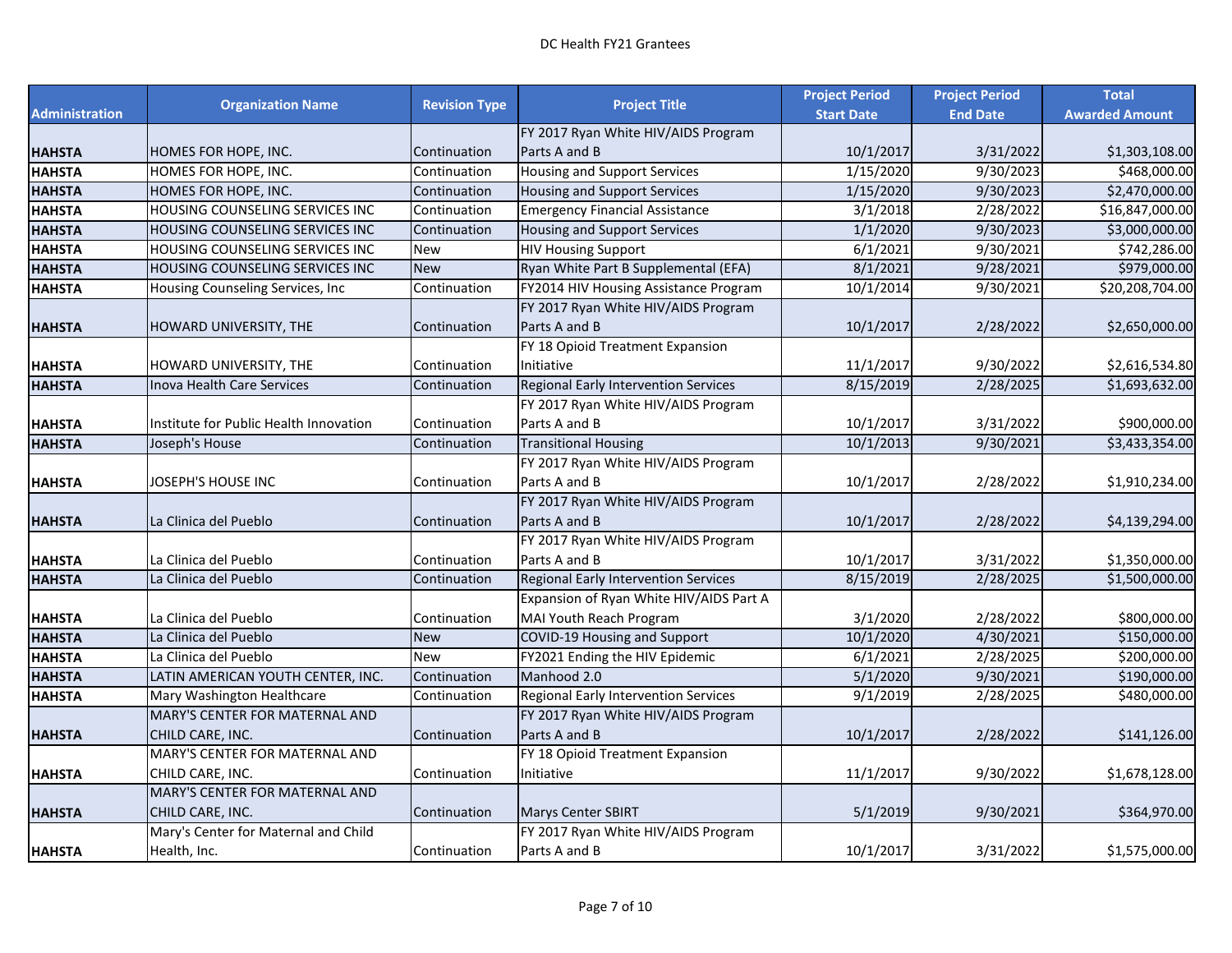|                       |                                        |                      |                                         | <b>Project Period</b> | <b>Project Period</b> | <b>Total</b>          |
|-----------------------|----------------------------------------|----------------------|-----------------------------------------|-----------------------|-----------------------|-----------------------|
| <b>Administration</b> | <b>Organization Name</b>               | <b>Revision Type</b> | <b>Project Title</b>                    | <b>Start Date</b>     | <b>End Date</b>       | <b>Awarded Amount</b> |
|                       |                                        |                      | FY 2017 Ryan White HIV/AIDS Program     |                       |                       |                       |
| <b>HAHSTA</b>         | HOMES FOR HOPE, INC.                   | Continuation         | Parts A and B                           | 10/1/2017             | 3/31/2022             | \$1,303,108.00        |
| <b>HAHSTA</b>         | HOMES FOR HOPE, INC.                   | Continuation         | <b>Housing and Support Services</b>     | 1/15/2020             | 9/30/2023             | \$468,000.00          |
| <b>HAHSTA</b>         | HOMES FOR HOPE, INC.                   | Continuation         | <b>Housing and Support Services</b>     | 1/15/2020             | 9/30/2023             | \$2,470,000.00        |
| <b>HAHSTA</b>         | HOUSING COUNSELING SERVICES INC        | Continuation         | <b>Emergency Financial Assistance</b>   | 3/1/2018              | 2/28/2022             | \$16,847,000.00       |
| <b>HAHSTA</b>         | HOUSING COUNSELING SERVICES INC        | Continuation         | <b>Housing and Support Services</b>     | 1/1/2020              | 9/30/2023             | \$3,000,000.00        |
| <b>HAHSTA</b>         | HOUSING COUNSELING SERVICES INC        | New                  | <b>HIV Housing Support</b>              | 6/1/2021              | 9/30/2021             | \$742,286.00          |
| <b>HAHSTA</b>         | HOUSING COUNSELING SERVICES INC        | <b>New</b>           | Ryan White Part B Supplemental (EFA)    | 8/1/2021              | 9/28/2021             | \$979,000.00          |
| <b>HAHSTA</b>         | Housing Counseling Services, Inc       | Continuation         | FY2014 HIV Housing Assistance Program   | 10/1/2014             | 9/30/2021             | \$20,208,704.00       |
|                       |                                        |                      | FY 2017 Ryan White HIV/AIDS Program     |                       |                       |                       |
| <b>HAHSTA</b>         | <b>HOWARD UNIVERSITY, THE</b>          | Continuation         | Parts A and B                           | 10/1/2017             | 2/28/2022             | \$2,650,000.00        |
|                       |                                        |                      | FY 18 Opioid Treatment Expansion        |                       |                       |                       |
| HAHSTA                | HOWARD UNIVERSITY, THE                 | Continuation         | Initiative                              | 11/1/2017             | 9/30/2022             | \$2,616,534.80        |
| <b>HAHSTA</b>         | <b>Inova Health Care Services</b>      | Continuation         | Regional Early Intervention Services    | 8/15/2019             | 2/28/2025             | \$1,693,632.00        |
|                       |                                        |                      | FY 2017 Ryan White HIV/AIDS Program     |                       |                       |                       |
| HAHSTA                | Institute for Public Health Innovation | Continuation         | Parts A and B                           | 10/1/2017             | 3/31/2022             | \$900,000.00          |
| <b>HAHSTA</b>         | Joseph's House                         | Continuation         | <b>Transitional Housing</b>             | 10/1/2013             | 9/30/2021             | \$3,433,354.00        |
|                       |                                        |                      | FY 2017 Ryan White HIV/AIDS Program     |                       |                       |                       |
| HAHSTA                | JOSEPH'S HOUSE INC                     | Continuation         | Parts A and B                           | 10/1/2017             | 2/28/2022             | \$1,910,234.00        |
|                       |                                        |                      | FY 2017 Ryan White HIV/AIDS Program     |                       |                       |                       |
| HAHSTA                | La Clinica del Pueblo                  | Continuation         | Parts A and B                           | 10/1/2017             | 2/28/2022             | \$4,139,294.00        |
|                       |                                        |                      | FY 2017 Ryan White HIV/AIDS Program     |                       |                       |                       |
| HAHSTA                | La Clinica del Pueblo                  | Continuation         | Parts A and B                           | 10/1/2017             | 3/31/2022             | \$1,350,000.00        |
| <b>HAHSTA</b>         | La Clinica del Pueblo                  | Continuation         | Regional Early Intervention Services    | 8/15/2019             | 2/28/2025             | \$1,500,000.00        |
|                       |                                        |                      | Expansion of Ryan White HIV/AIDS Part A |                       |                       |                       |
| <b>HAHSTA</b>         | La Clinica del Pueblo                  | Continuation         | MAI Youth Reach Program                 | 3/1/2020              | 2/28/2022             | \$800,000.00          |
| <b>HAHSTA</b>         | La Clinica del Pueblo                  | <b>New</b>           | COVID-19 Housing and Support            | 10/1/2020             | 4/30/2021             | \$150,000.00          |
| <b>HAHSTA</b>         | La Clinica del Pueblo                  | <b>New</b>           | FY2021 Ending the HIV Epidemic          | 6/1/2021              | 2/28/2025             | \$200,000.00          |
| <b>HAHSTA</b>         | LATIN AMERICAN YOUTH CENTER, INC.      | Continuation         | Manhood 2.0                             | 5/1/2020              | 9/30/2021             | \$190,000.00          |
| <b>HAHSTA</b>         | Mary Washington Healthcare             | Continuation         | Regional Early Intervention Services    | 9/1/2019              | 2/28/2025             | \$480,000.00          |
|                       | MARY'S CENTER FOR MATERNAL AND         |                      | FY 2017 Ryan White HIV/AIDS Program     |                       |                       |                       |
| <b>HAHSTA</b>         | CHILD CARE, INC.                       | Continuation         | Parts A and B                           | 10/1/2017             | 2/28/2022             | \$141,126.00          |
|                       | MARY'S CENTER FOR MATERNAL AND         |                      | FY 18 Opioid Treatment Expansion        |                       |                       |                       |
| HAHSTA                | CHILD CARE, INC.                       | Continuation         | Initiative                              | 11/1/2017             | 9/30/2022             | \$1,678,128.00        |
|                       | MARY'S CENTER FOR MATERNAL AND         |                      |                                         |                       |                       |                       |
| HAHSTA                | CHILD CARE, INC.                       | Continuation         | <b>Marys Center SBIRT</b>               | 5/1/2019              | 9/30/2021             | \$364,970.00          |
|                       | Mary's Center for Maternal and Child   |                      | FY 2017 Ryan White HIV/AIDS Program     |                       |                       |                       |
| HAHSTA                | Health, Inc.                           | Continuation         | Parts A and B                           | 10/1/2017             | 3/31/2022             | \$1,575,000.00        |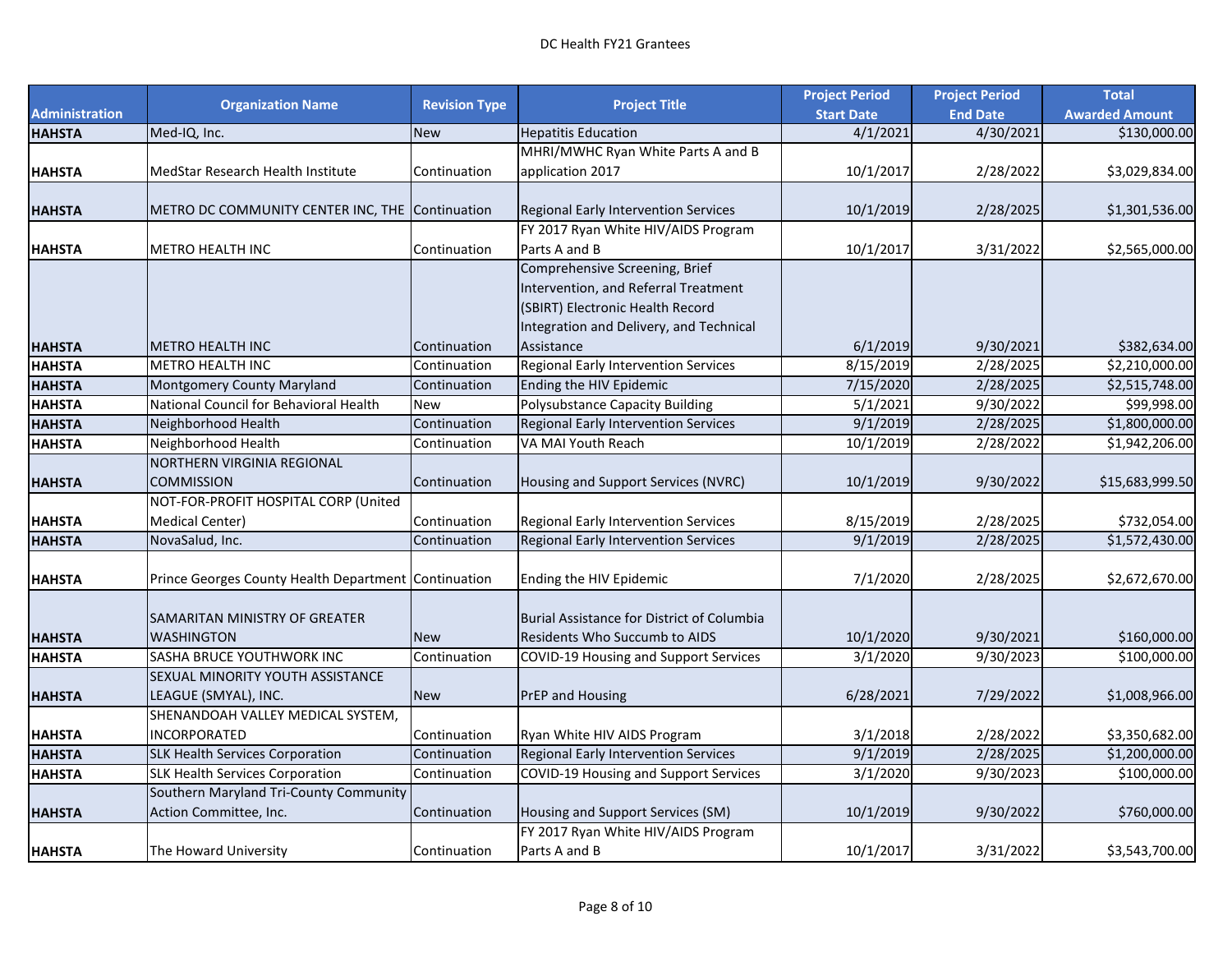|                       |                                                      | <b>Revision Type</b> | <b>Project Title</b>                              | <b>Project Period</b> | <b>Project Period</b> | <b>Total</b>          |
|-----------------------|------------------------------------------------------|----------------------|---------------------------------------------------|-----------------------|-----------------------|-----------------------|
| <b>Administration</b> | <b>Organization Name</b>                             |                      |                                                   | <b>Start Date</b>     | <b>End Date</b>       | <b>Awarded Amount</b> |
| <b>HAHSTA</b>         | Med-IQ, Inc.                                         | <b>New</b>           | <b>Hepatitis Education</b>                        | 4/1/2021              | 4/30/2021             | \$130,000.00          |
|                       |                                                      |                      | MHRI/MWHC Ryan White Parts A and B                |                       |                       |                       |
| <b>HAHSTA</b>         | MedStar Research Health Institute                    | Continuation         | application 2017                                  | 10/1/2017             | 2/28/2022             | \$3,029,834.00        |
|                       |                                                      |                      |                                                   |                       |                       |                       |
| <b>HAHSTA</b>         | METRO DC COMMUNITY CENTER INC, THE Continuation      |                      | Regional Early Intervention Services              | 10/1/2019             | 2/28/2025             | \$1,301,536.00        |
|                       |                                                      |                      | FY 2017 Ryan White HIV/AIDS Program               |                       |                       |                       |
| <b>HAHSTA</b>         | <b>METRO HEALTH INC</b>                              | Continuation         | Parts A and B                                     | 10/1/2017             | 3/31/2022             | \$2,565,000.00        |
|                       |                                                      |                      | Comprehensive Screening, Brief                    |                       |                       |                       |
|                       |                                                      |                      | Intervention, and Referral Treatment              |                       |                       |                       |
|                       |                                                      |                      | (SBIRT) Electronic Health Record                  |                       |                       |                       |
|                       |                                                      |                      | Integration and Delivery, and Technical           |                       |                       |                       |
| <b>HAHSTA</b>         | <b>METRO HEALTH INC</b>                              | Continuation         | Assistance                                        | 6/1/2019              | 9/30/2021             | \$382,634.00          |
| <b>HAHSTA</b>         | <b>METRO HEALTH INC</b>                              | Continuation         | Regional Early Intervention Services              | 8/15/2019             | 2/28/2025             | \$2,210,000.00        |
| <b>HAHSTA</b>         | <b>Montgomery County Maryland</b>                    | Continuation         | Ending the HIV Epidemic                           | 7/15/2020             | 2/28/2025             | \$2,515,748.00        |
| <b>HAHSTA</b>         | National Council for Behavioral Health               | New                  | Polysubstance Capacity Building                   | 5/1/2021              | 9/30/2022             | \$99,998.00           |
| <b>HAHSTA</b>         | Neighborhood Health                                  | Continuation         | Regional Early Intervention Services              | 9/1/2019              | 2/28/2025             | \$1,800,000.00        |
| <b>HAHSTA</b>         | Neighborhood Health                                  | Continuation         | VA MAI Youth Reach                                | 10/1/2019             | 2/28/2022             | \$1,942,206.00        |
|                       | NORTHERN VIRGINIA REGIONAL                           |                      |                                                   |                       |                       |                       |
| <b>HAHSTA</b>         | <b>COMMISSION</b>                                    | Continuation         | Housing and Support Services (NVRC)               | 10/1/2019             | 9/30/2022             | \$15,683,999.50       |
|                       | NOT-FOR-PROFIT HOSPITAL CORP (United                 |                      |                                                   |                       |                       |                       |
| <b>HAHSTA</b>         | <b>Medical Center)</b>                               | Continuation         | Regional Early Intervention Services              | 8/15/2019             | 2/28/2025             | \$732,054.00          |
| <b>HAHSTA</b>         | NovaSalud, Inc.                                      | Continuation         | Regional Early Intervention Services              | 9/1/2019              | 2/28/2025             | \$1,572,430.00        |
|                       |                                                      |                      |                                                   |                       |                       |                       |
| <b>HAHSTA</b>         | Prince Georges County Health Department Continuation |                      | Ending the HIV Epidemic                           | 7/1/2020              | 2/28/2025             | \$2,672,670.00        |
|                       |                                                      |                      |                                                   |                       |                       |                       |
|                       | SAMARITAN MINISTRY OF GREATER                        |                      | <b>Burial Assistance for District of Columbia</b> |                       |                       |                       |
| <b>HAHSTA</b>         | <b>WASHINGTON</b>                                    | <b>New</b>           | Residents Who Succumb to AIDS                     | 10/1/2020             | 9/30/2021             | \$160,000.00          |
| <b>HAHSTA</b>         | SASHA BRUCE YOUTHWORK INC                            | Continuation         | <b>COVID-19 Housing and Support Services</b>      | 3/1/2020              | 9/30/2023             | \$100,000.00          |
|                       | SEXUAL MINORITY YOUTH ASSISTANCE                     |                      |                                                   |                       |                       |                       |
| <b>HAHSTA</b>         | LEAGUE (SMYAL), INC.                                 | <b>New</b>           | PrEP and Housing                                  | 6/28/2021             | 7/29/2022             | \$1,008,966.00        |
|                       | SHENANDOAH VALLEY MEDICAL SYSTEM,                    |                      |                                                   |                       |                       |                       |
| <b>HAHSTA</b>         | <b>INCORPORATED</b>                                  | Continuation         | Ryan White HIV AIDS Program                       | 3/1/2018              | 2/28/2022             | \$3,350,682.00        |
| <b>HAHSTA</b>         | <b>SLK Health Services Corporation</b>               | Continuation         | Regional Early Intervention Services              | 9/1/2019              | 2/28/2025             | \$1,200,000.00        |
| <b>HAHSTA</b>         | <b>SLK Health Services Corporation</b>               | Continuation         | <b>COVID-19 Housing and Support Services</b>      | 3/1/2020              | 9/30/2023             | \$100,000.00          |
|                       | Southern Maryland Tri-County Community               |                      |                                                   |                       |                       |                       |
| <b>HAHSTA</b>         | Action Committee, Inc.                               | Continuation         | Housing and Support Services (SM)                 | 10/1/2019             | 9/30/2022             | \$760,000.00          |
|                       |                                                      |                      | FY 2017 Ryan White HIV/AIDS Program               |                       |                       |                       |
| <b>HAHSTA</b>         | The Howard University                                | Continuation         | Parts A and B                                     | 10/1/2017             | 3/31/2022             | \$3,543,700.00        |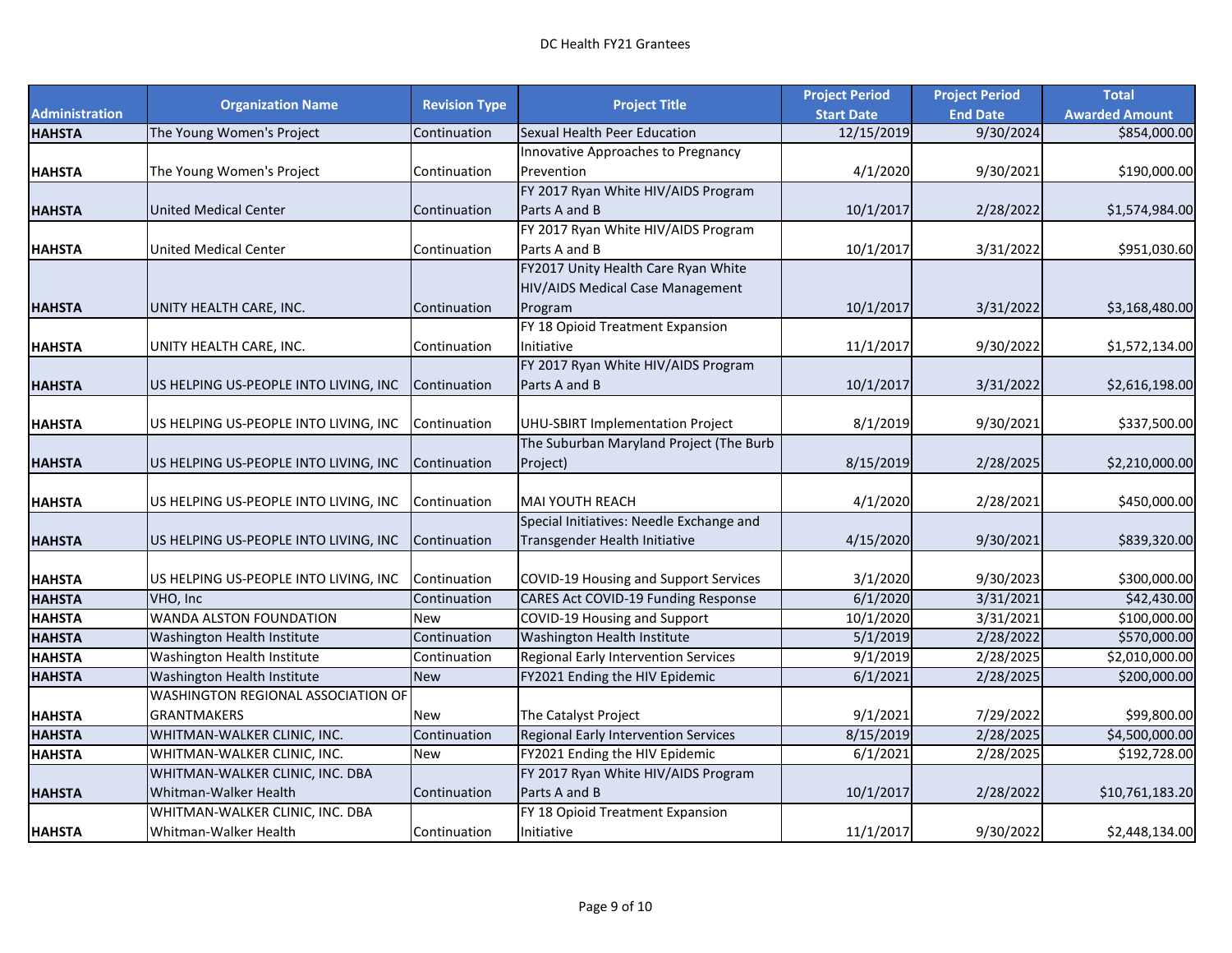|                       | <b>Organization Name</b>                  | <b>Revision Type</b> | <b>Project Title</b>                         | <b>Project Period</b> | <b>Project Period</b> | <b>Total</b>          |
|-----------------------|-------------------------------------------|----------------------|----------------------------------------------|-----------------------|-----------------------|-----------------------|
| <b>Administration</b> |                                           |                      |                                              | <b>Start Date</b>     | <b>End Date</b>       | <b>Awarded Amount</b> |
| <b>HAHSTA</b>         | The Young Women's Project                 | Continuation         | Sexual Health Peer Education                 | 12/15/2019            | 9/30/2024             | \$854,000.00          |
|                       |                                           |                      | Innovative Approaches to Pregnancy           |                       |                       |                       |
| <b>HAHSTA</b>         | The Young Women's Project                 | Continuation         | Prevention                                   | 4/1/2020              | 9/30/2021             | \$190,000.00          |
|                       |                                           |                      | FY 2017 Ryan White HIV/AIDS Program          |                       |                       |                       |
| <b>HAHSTA</b>         | <b>United Medical Center</b>              | Continuation         | Parts A and B                                | 10/1/2017             | 2/28/2022             | \$1,574,984.00        |
|                       |                                           |                      | FY 2017 Ryan White HIV/AIDS Program          |                       |                       |                       |
| <b>HAHSTA</b>         | United Medical Center                     | Continuation         | Parts A and B                                | 10/1/2017             | 3/31/2022             | \$951,030.60          |
|                       |                                           |                      | FY2017 Unity Health Care Ryan White          |                       |                       |                       |
|                       |                                           |                      | HIV/AIDS Medical Case Management             |                       |                       |                       |
| <b>HAHSTA</b>         | UNITY HEALTH CARE, INC.                   | Continuation         | Program                                      | 10/1/2017             | 3/31/2022             | \$3,168,480.00        |
|                       |                                           |                      | FY 18 Opioid Treatment Expansion             |                       |                       |                       |
| <b>HAHSTA</b>         | UNITY HEALTH CARE, INC.                   | Continuation         | Initiative                                   | 11/1/2017             | 9/30/2022             | \$1,572,134.00        |
|                       |                                           |                      | FY 2017 Ryan White HIV/AIDS Program          |                       |                       |                       |
| <b>HAHSTA</b>         | US HELPING US-PEOPLE INTO LIVING, INC     | Continuation         | Parts A and B                                | 10/1/2017             | 3/31/2022             | \$2,616,198.00        |
|                       |                                           |                      |                                              |                       |                       |                       |
| <b>HAHSTA</b>         | US HELPING US-PEOPLE INTO LIVING, INC     | Continuation         | UHU-SBIRT Implementation Project             | 8/1/2019              | 9/30/2021             | \$337,500.00          |
|                       |                                           |                      | The Suburban Maryland Project (The Burb      |                       |                       |                       |
| <b>HAHSTA</b>         | US HELPING US-PEOPLE INTO LIVING, INC     | Continuation         | Project)                                     | 8/15/2019             | 2/28/2025             | \$2,210,000.00        |
|                       |                                           |                      |                                              |                       |                       |                       |
| <b>HAHSTA</b>         | US HELPING US-PEOPLE INTO LIVING, INC     | Continuation         | <b>MAI YOUTH REACH</b>                       | 4/1/2020              | 2/28/2021             | \$450,000.00          |
|                       |                                           |                      | Special Initiatives: Needle Exchange and     |                       |                       |                       |
| <b>HAHSTA</b>         | US HELPING US-PEOPLE INTO LIVING, INC     | Continuation         | Transgender Health Initiative                | 4/15/2020             | 9/30/2021             | \$839,320.00          |
|                       |                                           |                      |                                              |                       |                       |                       |
| <b>HAHSTA</b>         | US HELPING US-PEOPLE INTO LIVING, INC     | Continuation         | <b>COVID-19 Housing and Support Services</b> | 3/1/2020              | 9/30/2023             | \$300,000.00          |
| <b>HAHSTA</b>         | VHO, Inc                                  | Continuation         | <b>CARES Act COVID-19 Funding Response</b>   | 6/1/2020              | 3/31/2021             | \$42,430.00           |
| <b>HAHSTA</b>         | <b>WANDA ALSTON FOUNDATION</b>            | <b>New</b>           | COVID-19 Housing and Support                 | 10/1/2020             | 3/31/2021             | \$100,000.00          |
| <b>HAHSTA</b>         | Washington Health Institute               | Continuation         | Washington Health Institute                  | $\overline{5/1/2019}$ | 2/28/2022             | \$570,000.00          |
| <b>HAHSTA</b>         | Washington Health Institute               | Continuation         | Regional Early Intervention Services         | 9/1/2019              | $\frac{2}{228}/2025$  | \$2,010,000.00        |
| <b>HAHSTA</b>         | Washington Health Institute               | <b>New</b>           | FY2021 Ending the HIV Epidemic               | 6/1/2021              | 2/28/2025             | \$200,000.00          |
|                       | <b>WASHINGTON REGIONAL ASSOCIATION OF</b> |                      |                                              |                       |                       |                       |
| <b>HAHSTA</b>         | <b>GRANTMAKERS</b>                        | <b>New</b>           | The Catalyst Project                         | 9/1/2021              | 7/29/2022             | \$99,800.00           |
| <b>HAHSTA</b>         | WHITMAN-WALKER CLINIC, INC.               | Continuation         | Regional Early Intervention Services         | 8/15/2019             | 2/28/2025             | \$4,500,000.00        |
| <b>HAHSTA</b>         | WHITMAN-WALKER CLINIC, INC.               | <b>New</b>           | FY2021 Ending the HIV Epidemic               | 6/1/2021              | 2/28/2025             | \$192,728.00          |
|                       | WHITMAN-WALKER CLINIC, INC. DBA           |                      | FY 2017 Ryan White HIV/AIDS Program          |                       |                       |                       |
| <b>HAHSTA</b>         | Whitman-Walker Health                     | Continuation         | Parts A and B                                | 10/1/2017             | 2/28/2022             | \$10,761,183.20       |
|                       | WHITMAN-WALKER CLINIC, INC. DBA           |                      | FY 18 Opioid Treatment Expansion             |                       |                       |                       |
| <b>HAHSTA</b>         | Whitman-Walker Health                     | Continuation         | Initiative                                   | 11/1/2017             | 9/30/2022             | \$2,448,134.00        |